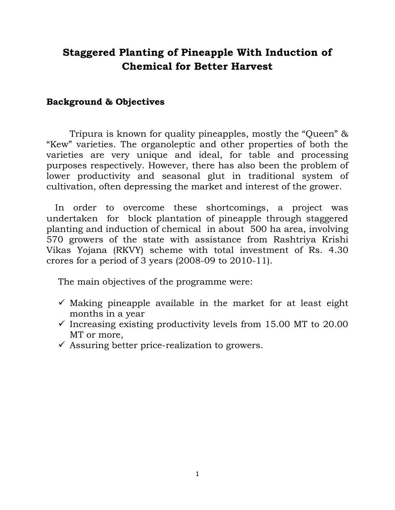## **Staggered Planting of Pineapple With Induction of Chemical for Better Harvest**

## **Background & Objectives**

Tripura is known for quality pineapples, mostly the "Queen" & "Kew" varieties. The organoleptic and other properties of both the varieties are very unique and ideal, for table and processing purposes respectively. However, there has also been the problem of lower productivity and seasonal glut in traditional system of cultivation, often depressing the market and interest of the grower.

 In order to overcome these shortcomings, a project was undertaken for block plantation of pineapple through staggered planting and induction of chemical in about 500 ha area, involving 570 growers of the state with assistance from Rashtriya Krishi Vikas Yojana (RKVY) scheme with total investment of Rs. 4.30 crores for a period of 3 years (2008-09 to 2010-11).

The main objectives of the programme were:

- $\checkmark$  Making pineapple available in the market for at least eight months in a year
- $\checkmark$  Increasing existing productivity levels from 15.00 MT to 20.00 MT or more,
- $\checkmark$  Assuring better price-realization to growers.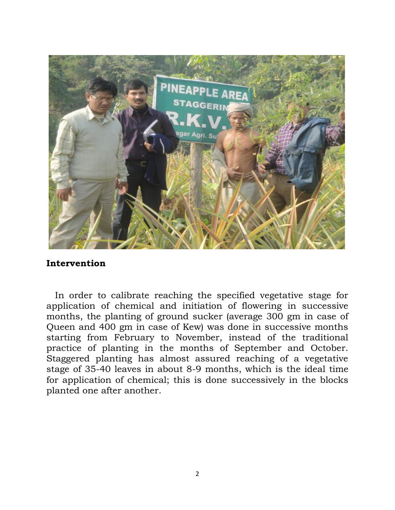

## **Intervention**

 In order to calibrate reaching the specified vegetative stage for application of chemical and initiation of flowering in successive months, the planting of ground sucker (average 300 gm in case of Queen and 400 gm in case of Kew) was done in successive months starting from February to November, instead of the traditional practice of planting in the months of September and October. Staggered planting has almost assured reaching of a vegetative stage of 35-40 leaves in about 8-9 months, which is the ideal time for application of chemical; this is done successively in the blocks planted one after another.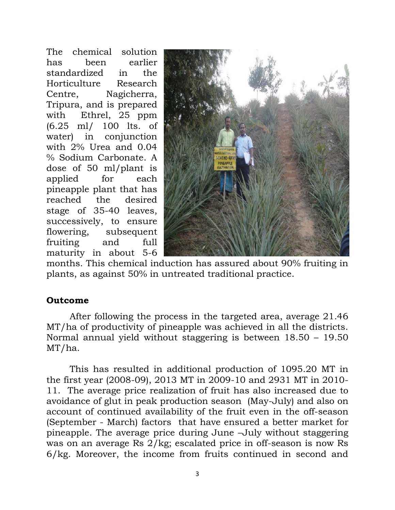The chemical solution has been earlier standardized in the Horticulture Research Centre, Nagicherra, Tripura, and is prepared with Ethrel, 25 ppm (6.25 ml/ 100 lts. of water) in conjunction with 2% Urea and 0.04 % Sodium Carbonate. A dose of 50 ml/plant is applied for each pineapple plant that has reached the desired stage of 35-40 leaves, successively, to ensure flowering, subsequent fruiting and full maturity in about 5-6



months. This chemical induction has assured about 90% fruiting in plants, as against 50% in untreated traditional practice.

## **Outcome**

After following the process in the targeted area, average 21.46 MT/ha of productivity of pineapple was achieved in all the districts. Normal annual yield without staggering is between 18.50 – 19.50 MT/ha.

This has resulted in additional production of 1095.20 MT in the first year (2008-09), 2013 MT in 2009-10 and 2931 MT in 2010- 11. The average price realization of fruit has also increased due to avoidance of glut in peak production season (May-July) and also on account of continued availability of the fruit even in the off-season (September - March) factors that have ensured a better market for pineapple. The average price during June –July without staggering was on an average Rs 2/kg; escalated price in off-season is now Rs 6/kg. Moreover, the income from fruits continued in second and